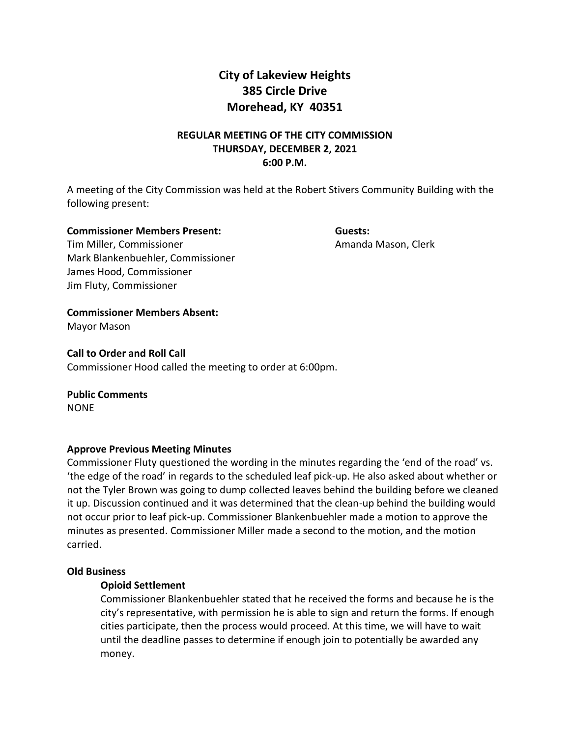# **City of Lakeview Heights 385 Circle Drive Morehead, KY 40351**

## **REGULAR MEETING OF THE CITY COMMISSION THURSDAY, DECEMBER 2, 2021 6:00 P.M.**

A meeting of the City Commission was held at the Robert Stivers Community Building with the following present:

## **Commissioner Members Present: Guests:**

Tim Miller, Commissioner Amanda Mason, Clerk Mark Blankenbuehler, Commissioner James Hood, Commissioner Jim Fluty, Commissioner

**Commissioner Members Absent:**  Mayor Mason

## **Call to Order and Roll Call**

Commissioner Hood called the meeting to order at 6:00pm.

**Public Comments** NONE

## **Approve Previous Meeting Minutes**

Commissioner Fluty questioned the wording in the minutes regarding the 'end of the road' vs. 'the edge of the road' in regards to the scheduled leaf pick-up. He also asked about whether or not the Tyler Brown was going to dump collected leaves behind the building before we cleaned it up. Discussion continued and it was determined that the clean-up behind the building would not occur prior to leaf pick-up. Commissioner Blankenbuehler made a motion to approve the minutes as presented. Commissioner Miller made a second to the motion, and the motion carried.

## **Old Business**

## **Opioid Settlement**

Commissioner Blankenbuehler stated that he received the forms and because he is the city's representative, with permission he is able to sign and return the forms. If enough cities participate, then the process would proceed. At this time, we will have to wait until the deadline passes to determine if enough join to potentially be awarded any money.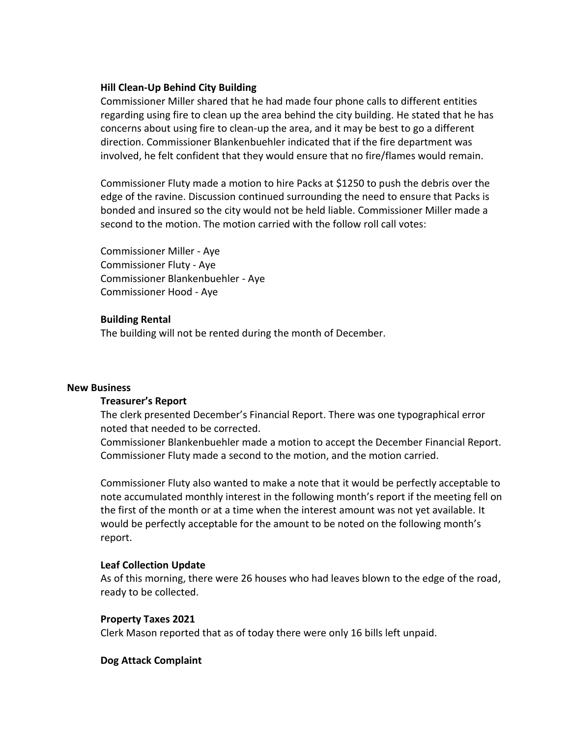## **Hill Clean-Up Behind City Building**

Commissioner Miller shared that he had made four phone calls to different entities regarding using fire to clean up the area behind the city building. He stated that he has concerns about using fire to clean-up the area, and it may be best to go a different direction. Commissioner Blankenbuehler indicated that if the fire department was involved, he felt confident that they would ensure that no fire/flames would remain.

Commissioner Fluty made a motion to hire Packs at \$1250 to push the debris over the edge of the ravine. Discussion continued surrounding the need to ensure that Packs is bonded and insured so the city would not be held liable. Commissioner Miller made a second to the motion. The motion carried with the follow roll call votes:

Commissioner Miller - Aye Commissioner Fluty - Aye Commissioner Blankenbuehler - Aye Commissioner Hood - Aye

## **Building Rental**

The building will not be rented during the month of December.

#### **New Business**

## **Treasurer's Report**

The clerk presented December's Financial Report. There was one typographical error noted that needed to be corrected.

Commissioner Blankenbuehler made a motion to accept the December Financial Report. Commissioner Fluty made a second to the motion, and the motion carried.

Commissioner Fluty also wanted to make a note that it would be perfectly acceptable to note accumulated monthly interest in the following month's report if the meeting fell on the first of the month or at a time when the interest amount was not yet available. It would be perfectly acceptable for the amount to be noted on the following month's report.

## **Leaf Collection Update**

As of this morning, there were 26 houses who had leaves blown to the edge of the road, ready to be collected.

#### **Property Taxes 2021**

Clerk Mason reported that as of today there were only 16 bills left unpaid.

## **Dog Attack Complaint**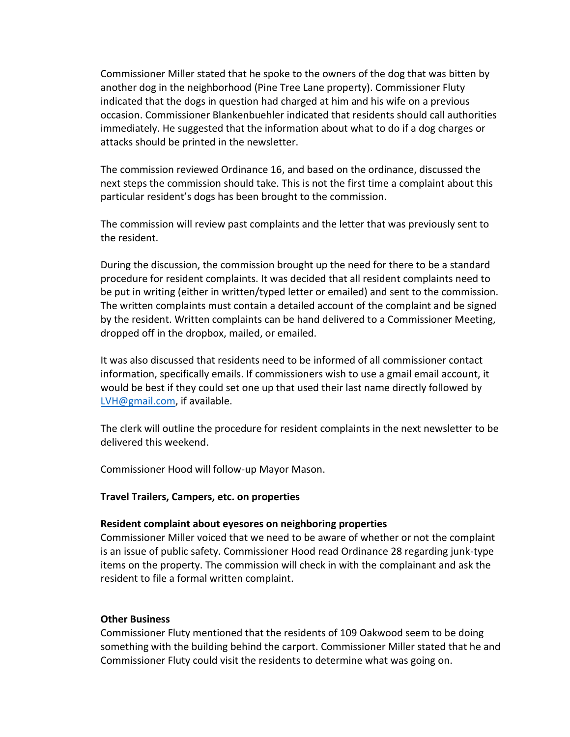Commissioner Miller stated that he spoke to the owners of the dog that was bitten by another dog in the neighborhood (Pine Tree Lane property). Commissioner Fluty indicated that the dogs in question had charged at him and his wife on a previous occasion. Commissioner Blankenbuehler indicated that residents should call authorities immediately. He suggested that the information about what to do if a dog charges or attacks should be printed in the newsletter.

The commission reviewed Ordinance 16, and based on the ordinance, discussed the next steps the commission should take. This is not the first time a complaint about this particular resident's dogs has been brought to the commission.

The commission will review past complaints and the letter that was previously sent to the resident.

During the discussion, the commission brought up the need for there to be a standard procedure for resident complaints. It was decided that all resident complaints need to be put in writing (either in written/typed letter or emailed) and sent to the commission. The written complaints must contain a detailed account of the complaint and be signed by the resident. Written complaints can be hand delivered to a Commissioner Meeting, dropped off in the dropbox, mailed, or emailed.

It was also discussed that residents need to be informed of all commissioner contact information, specifically emails. If commissioners wish to use a gmail email account, it would be best if they could set one up that used their last name directly followed by [LVH@gmail.com,](mailto:LVH@gmail.com) if available.

The clerk will outline the procedure for resident complaints in the next newsletter to be delivered this weekend.

Commissioner Hood will follow-up Mayor Mason.

## **Travel Trailers, Campers, etc. on properties**

## **Resident complaint about eyesores on neighboring properties**

Commissioner Miller voiced that we need to be aware of whether or not the complaint is an issue of public safety. Commissioner Hood read Ordinance 28 regarding junk-type items on the property. The commission will check in with the complainant and ask the resident to file a formal written complaint.

## **Other Business**

Commissioner Fluty mentioned that the residents of 109 Oakwood seem to be doing something with the building behind the carport. Commissioner Miller stated that he and Commissioner Fluty could visit the residents to determine what was going on.